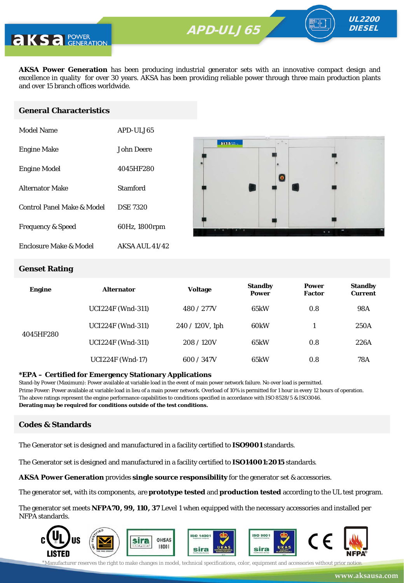

**AKSA Power Generation** has been producing industrial generator sets with an innovative compact design and excellence in quality for over 30 years. AKSA has been providing reliable power through three main production plants and over 15 branch offices worldwide.

#### **General Characteristics**

| Model Name                   | APD-ULJ65       |
|------------------------------|-----------------|
| <b>Engine Make</b>           | John Deere      |
| <b>Engine Model</b>          | 4045HF280       |
| <b>Alternator Make</b>       | Stamford        |
| Control Panel Make & Model   | <b>DSE 7320</b> |
| <b>Frequency &amp; Speed</b> | 60Hz, 1800rpm   |
| Enclosure Make & Model       | AKSA AUL 41/42  |



UL2200 **DIESEL** 

#### **Genset Rating**

| <b>Engine</b> | <b>Alternator</b>        | <b>Voltage</b>  | <b>Standby</b><br><b>Power</b> | <b>Power</b><br><b>Factor</b> | <b>Standby</b><br><b>Current</b> |
|---------------|--------------------------|-----------------|--------------------------------|-------------------------------|----------------------------------|
| 4045HF280     | <b>UCI224F (Wnd-311)</b> | 480 / 277V      | 65kW                           | 0.8                           | 98A                              |
|               | <b>UCI224F (Wnd-311)</b> | 240 / 120V, 1ph | 60 <sub>k</sub> W              |                               | 250A                             |
|               | <b>UCI224F (Wnd-311)</b> | 208/120V        | 65kW                           | 0.8                           | 226A                             |
|               | <b>UCI224F</b> (Wnd-17)  | 600 / 347V      | 65kW                           | 0.8                           | 78A                              |

#### **\*EPA – Certified for Emergency Stationary Applications**

Stand-by Power (Maximum): Power available at variable load in the event of main power network failure. No over load is permitted. Prime Power: Power available at variable load in lieu of a main power network. Overload of 10% is permitted for 1 hour in every 12 hours of operation. The above ratings represent the engine performance capabilities to conditions specified in accordance with ISO 8528/5 & ISO3046. **Derating may be required for conditions outside of the test conditions.**

#### **Codes & Standards**

The Generator set is designed and manufactured in a facility certified to **ISO9001** standards.

The Generator set is designed and manufactured in a facility certified to **ISO14001:2015** standards.

**AKSA Power Generation** provides **single source responsibility** for the generator set & accessories.

The generator set, with its components, are **prototype tested** and **production tested** according to the UL test program.

The generator set meets **NFPA70, 99, 110, 37** Level 1 when equipped with the necessary accessories and installed per NFPA standards.

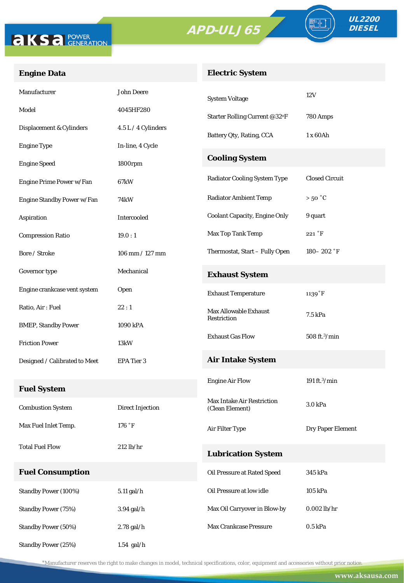



FO

### **Engine Data**

### **Electric System**

| Manufacturer                  | John Deere              | <b>System Voltage</b>                | 12V                       |  |
|-------------------------------|-------------------------|--------------------------------------|---------------------------|--|
| Model                         | 4045HF280               | Starter Rolling Current @32°F        | 780 Amps                  |  |
| Displacement & Cylinders      | 4.5 L / 4 Cylinders     | Battery Qty, Rating, CCA             | 1 x 60Ah                  |  |
| <b>Engine Type</b>            | In-line, 4 Cycle        |                                      |                           |  |
| <b>Engine Speed</b>           | 1800rpm                 | <b>Cooling System</b>                |                           |  |
| Engine Prime Power w/Fan      | 67kW                    | <b>Radiator Cooling System Type</b>  | <b>Closed Circuit</b>     |  |
| Engine Standby Power w/Fan    | 74kW                    | <b>Radiator Ambient Temp</b>         | $>50\degree C$            |  |
| Aspiration                    | Intercooled             | <b>Coolant Capacity, Engine Only</b> | 9 quart                   |  |
| <b>Compression Ratio</b>      | 19.0:1                  | Max Top Tank Temp                    | 221 °F                    |  |
| Bore / Stroke                 | 106 mm / 127 mm         | Thermostat, Start - Fully Open       | $180 - 202$ °F            |  |
| Governor type                 | Mechanical              | <b>Exhaust System</b>                |                           |  |
| Engine crankcase vent system  | Open                    | <b>Exhaust Temperature</b>           | $1139°$ F                 |  |
| Ratio, Air: Fuel              | 22:1                    | <b>Max Allowable Exhaust</b>         | 7.5 kPa                   |  |
| <b>BMEP, Standby Power</b>    | 1090 kPA                | Restriction                          |                           |  |
| <b>Friction Power</b>         | 13kW                    | <b>Exhaust Gas Flow</b>              | 508 ft. <sup>3</sup> /min |  |
| Designed / Calibrated to Meet | EPA Tier 3              | <b>Air Intake System</b>             |                           |  |
|                               |                         | <b>Engine Air Flow</b>               | 191 ft. $3$ /min          |  |
| <b>Fuel System</b>            |                         | Max Intake Air Restriction           |                           |  |
| <b>Combustion System</b>      | <b>Direct Injection</b> | (Clean Element)                      | 3.0 kPa                   |  |
| Max Fuel Inlet Temp.          | 176 °F                  | Air Filter Type                      | <b>Dry Paper Element</b>  |  |
| <b>Total Fuel Flow</b>        | $212$ lb/hr             | <b>Lubrication System</b>            |                           |  |
| <b>Fuel Consumption</b>       |                         | Oil Pressure at Rated Speed          | 345 kPa                   |  |
|                               |                         |                                      |                           |  |
| Standby Power (100%)          | 5.11 gal/h              | Oil Pressure at low idle             | 105 kPa                   |  |
| <b>Standby Power (75%)</b>    | 3.94 gal/h              | Max Oil Carryover in Blow-by         | $0.002$ lb/hr             |  |
| <b>Standby Power (50%)</b>    | 2.78 gal/h              | Max Crankcase Pressure               | 0.5 kPa                   |  |
| Standby Power (25%)           | $1.54$ gal/h            |                                      |                           |  |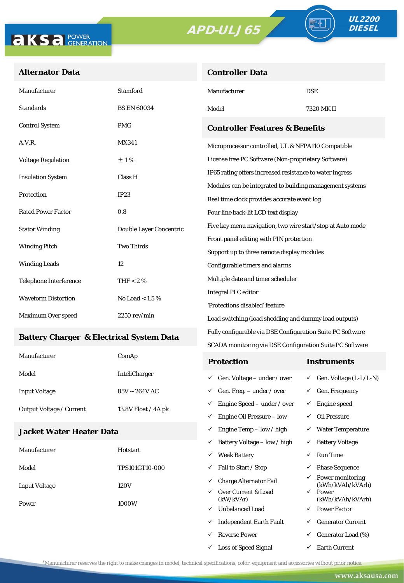**Controller Data**



#### **Alternator Data**

| Manufacturer                  | <b>Stamford</b>         | Manufacturer                                                                                      | <b>DSE</b> |  |
|-------------------------------|-------------------------|---------------------------------------------------------------------------------------------------|------------|--|
| <b>Standards</b>              | <b>BS EN 60034</b>      | Model                                                                                             | 7320 MK II |  |
| <b>Control System</b>         | <b>PMG</b>              | <b>Controller Features &amp; Benefits</b><br>Microprocessor controlled, UL & NFPA110 Compatible   |            |  |
| A.V.R.                        | <b>MX341</b>            |                                                                                                   |            |  |
| <b>Voltage Regulation</b>     | $\pm 1\%$               | License free PC Software (Non-proprietary Software)                                               |            |  |
| <b>Insulation System</b>      | Class H                 | IP65 rating offers increased resistance to water ingress                                          |            |  |
| Protection                    | IP23                    | Modules can be integrated to building management systems                                          |            |  |
|                               |                         | Real time clock provides accurate event log                                                       |            |  |
| <b>Rated Power Factor</b>     | 0.8                     | Four line back-lit LCD text display<br>Five key menu navigation, two wire start/stop at Auto mode |            |  |
| <b>Stator Winding</b>         | Double Layer Concentric |                                                                                                   |            |  |
| <b>Two Thirds</b>             |                         | Front panel editing with PIN protection                                                           |            |  |
| <b>Winding Pitch</b>          |                         | Support up to three remote display modules                                                        |            |  |
| <b>Winding Leads</b>          | 12                      | Configurable timers and alarms                                                                    |            |  |
| <b>Telephone Interference</b> | THF $< 2 \%$            | Multiple date and timer scheduler                                                                 |            |  |
| <b>Waveform Distortion</b>    | No Load $< 1.5 \%$      | <b>Integral PLC editor</b>                                                                        |            |  |
|                               |                         | 'Protections disabled' feature                                                                    |            |  |
| Maximum Over speed            | $2250$ rev/min $\,$     | Load switching (load shedding and dummy load outputs)                                             |            |  |

#### **Battery Charger & Electrical System Data**

| Manufacturer                    | ComAp                | <b>Protection</b>                         | Instruments                         |
|---------------------------------|----------------------|-------------------------------------------|-------------------------------------|
| Model                           | <b>InteliCharger</b> | $\checkmark$ Gen. Voltage – under / over  | $\checkmark$ Gen. Voltage (L-L/L-N) |
| <b>Input Voltage</b>            | $85V - 264V$ AC      | $\checkmark$ Gen. Freq. – under / over    | $\checkmark$ Gen. Frequency         |
| <b>Output Voltage / Current</b> | 13.8V Float / 4A pk  | $\checkmark$ Engine Speed – under / over  | Engine speed                        |
|                                 |                      | Engine Oil Pressure – low<br>$\checkmark$ | Oil Pressure                        |

Fully configurable via DSE Configuration Suite PC Software SCADA monitoring via DSE Configuration Suite PC Software

 $\checkmark$  Engine Temp – low / high  $\checkmark$  Water Temperature

 $\checkmark$  Loss of Speed Signal  $\checkmark$  Earth Current

#### **Jacket Water Heater Data**

|                      |                       | ✓                             | Battery Voltage – low / high     | $\checkmark$                         | <b>Battery Voltage</b>    |
|----------------------|-----------------------|-------------------------------|----------------------------------|--------------------------------------|---------------------------|
| Manufacturer         | Hotstart              | ✓                             | <b>Weak Battery</b>              | ✓                                    | <b>Run Time</b>           |
| Model                | <b>TPS101GT10-000</b> | ✓                             | Fail to Start / Stop             | ✓                                    | <b>Phase Sequence</b>     |
| <b>Input Voltage</b> | ✓<br>120V             | <b>Charge Alternator Fail</b> |                                  | Power monitoring<br>(kWh/kVAh/kVArh) |                           |
| Power                | ✓<br>1000W<br>✓       |                               | Over Current & Load<br>(kW/kVAr) | $\checkmark$                         | Power<br>(kWh/kVAh/kVArh) |
|                      |                       |                               | <b>Unbalanced Load</b>           | $\checkmark$                         | <b>Power Factor</b>       |
|                      |                       | ✓                             | <b>Independent Earth Fault</b>   | ✓                                    | <b>Generator Current</b>  |
|                      |                       |                               | <b>Reverse Power</b>             | ✓                                    | Generator Load (%)        |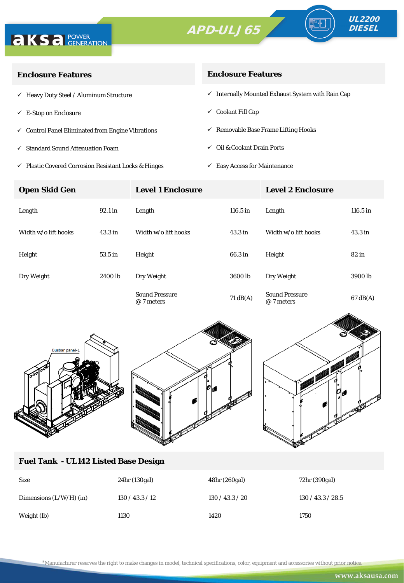



| <b>Enclosure Features</b>                                    | <b>Enclosure Features</b>                                    |  |  |
|--------------------------------------------------------------|--------------------------------------------------------------|--|--|
| $\checkmark$ Heavy Duty Steel / Aluminum Structure           | $\checkmark$ Internally Mounted Exhaust System with Rain Cap |  |  |
| $\checkmark$ E-Stop on Enclosure                             | $\checkmark$ Coolant Fill Cap                                |  |  |
| $\checkmark$ Control Panel Eliminated from Engine Vibrations | $\checkmark$ Removable Base Frame Lifting Hooks              |  |  |
| ✓ Standard Sound Attenuation Foam                            | $\checkmark$ Oil & Coolant Drain Ports                       |  |  |
|                                                              |                                                              |  |  |

 $\checkmark$ Plastic Covered Corrosion Resistant Locks & Hinges

 $\checkmark~$  Easy Access for Maintenance

| <b>Open Skid Gen</b> |                    | <b>Level 1 Enclosure</b>            |                    | <b>Level 2 Enclosure</b>            |                    |
|----------------------|--------------------|-------------------------------------|--------------------|-------------------------------------|--------------------|
| Length               | 92.1 in            | Length                              | 116.5 in           | Length                              | $116.5$ in         |
| Width w/o lift hooks | 43.3 <sub>in</sub> | Width w/o lift hooks                | 43.3 <sub>in</sub> | Width w/o lift hooks                | 43.3 <sub>in</sub> |
| Height               | 53.5 in            | Height                              | 66.3 in            | Height                              | $82$ in            |
| Dry Weight           | 2400 lb            | Dry Weight                          | 3600 lb            | Dry Weight                          | 3900 lb            |
|                      |                    | <b>Sound Pressure</b><br>@ 7 meters | $71 \text{ dB}(A)$ | <b>Sound Pressure</b><br>@ 7 meters | $67 \text{ dB}(A)$ |





#### **Fuel Tank - UL142 Listed Base Design**

| <b>Size</b>               | 24hr (130gal) | 48hr (260gal)   | 72hr (390gal)     |
|---------------------------|---------------|-----------------|-------------------|
| Dimensions $(L/W/H)$ (in) | 130/43.3/12   | 130 / 43.3 / 20 | 130 / 43.3 / 28.5 |
| Weight (lb)               | 1130          | 1420            | 1750              |